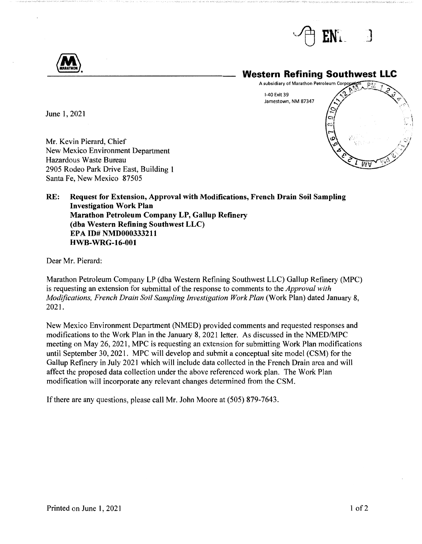





June 1, 2021

Mr. Kevin Pierard, Chief New Mexico Environment Department Hazardous Waste Bureau 2905 Rodeo Park Drive East, Building 1 Santa Fe, New Mexico 87505

**RE: Request for Extension, Approval with Modifications, French Drain Soil Sampling Investigation Work Plan Marathon Petroleum Company LP, Gallup Refinery (dba Western Refining Southwest LLC) EPA ID# NMD000333211 HWB-WRG-16-001** 

Dear Mr. Pierard:

Marathon Petroleum Company LP (dba Western Refining Southwest LLC) Gallup Refinery (MPC) is requesting an extension for submittal of the response to comments to the *Approval with Modifications, French Drain Soil Sampling Investigation Work Plan* (Work Plan) dated January 8, 2021.

New Mexico Environment Department (NMED) provided comments and requested responses and modifications to the Work Plan in the January 8, 2021 letter. As discussed in the NMED/MPC meeting on May 26, 2021, MPC is requesting an extension for submitting Work Plan modifications until September 30, 2021. MPC will develop and submit a conceptual site model (CSM) for the Gallup Refinery in July 2021 which will include data collected in the French Drain area and will affect the proposed data collection under the above referenced work plan. The Work Plan modification will incorporate any relevant changes determined from the CSM.

If there are any questions, please call Mr. John Moore at (505) 879-7643.